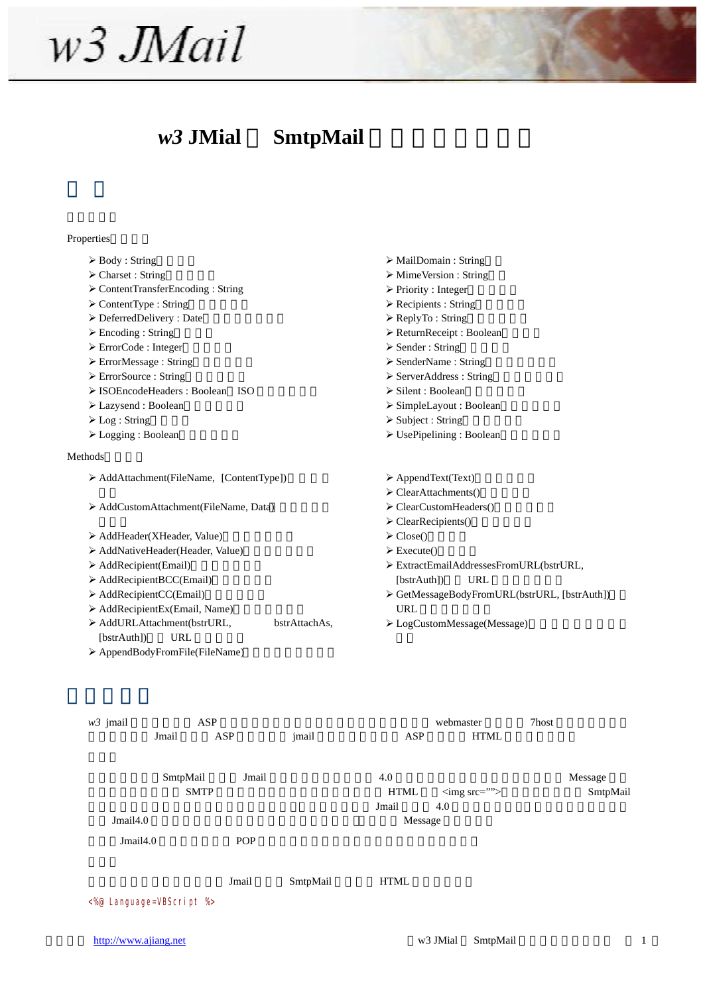# $w3$ .*JMail*

## *w3* JMial SmtpMail

#### Properties

 $\triangleright$  Body : String  $\triangleright$  Charset : String ¾ ContentTransferEncoding : String  $\triangleright$  ContentType : String  $\triangleright$  DeferredDelivery : Date  $\triangleright$  Encoding : String  $\triangleright$  ErrorCode : Integer ▶ ErrorMessage : String  $\triangleright$  ErrorSource : String ▶ ISOEncodeHeaders : Boolean ISO  $\triangleright$  Lazysend : Boolean  $\triangleright$  Log : String  $\triangleright$  Logging : Boolean  $\triangleright$  MailDomain : String  $\triangleright$  MimeVersion : String  $\triangleright$  Priority : Integer  $\triangleright$  Recipients : String  $\triangleright$  ReplyTo : String  $\triangleright$  ReturnReceipt : Boolean  $\triangleright$  Sender : String ≻ SenderName : String  $\triangleright$  ServerAddress : String  $\triangleright$  Silent : Boolean  $\triangleright$  SimpleLayout : Boolean  $\triangleright$  Subject : String  $\triangleright$  UsePipelining : Boolean Methods ¾ AddAttachment(FileName, [ContentType])(添加附 ▶ AddCustomAttachment(FileName, Data) ▶ AddHeader(XHeader, Value)  $\triangleright$  AddNativeHeader(Header, Value) ▶ AddRecipient(Email)  $\triangleright$  AddRecipientBCC(Email) ▶ AddRecipientCC(Email)  $\triangleright$  AddRecipientEx(Email, Name) ¾ AddURLAttachment(bstrURL, bstrAttachAs, [bstrAuth]) URL ▶ AppendBodyFromFile(FileName)  $\triangleright$  AppendText(Text)  $\triangleright$  ClearAttachments()  $\triangleright$  ClearCustomHeaders()  $\triangleright$  ClearRecipients()  $\triangleright$  Close()  $\triangleright$  Execute() ¾ ExtractEmailAddressesFromURL(bstrURL, [bstrAuth]) URL ¾ GetMessageBodyFromURL(bstrURL, [bstrAuth])(从 URL ¾ LogCustomMessage(Message)(添加自定义日局内 *w3* jmail ASP ASP **ASP** Webmaster 7host  $\alpha$ Jmail ASP jmail ASP HTML

SmtpMail Jmail  $\sim 4.0$  $\text{SMTP}$   $\text{HTML}$   $\text{Gmg src} = \text{m}$  SmtpMail  $J$ mail  $\sim 4.0$ Jmail4.0 
Wessage 2012 Jmail4.0 POP Jmail SmtpMail HTML <%@ Language=VBScript %>

http://www.ajiang.net 1 1 and 1 and 1 and 1 and 1 and 1 and 1 and 1 and 1 and 1 and 1 and 1 and 1 and 1 and 1 and 1 and 1 and 1 and 1 and 1 and 1 and 1 and 1 and 1 and 1 and 1 and 1 and 1 and 1 and 1 and 1 and 1 and 1 and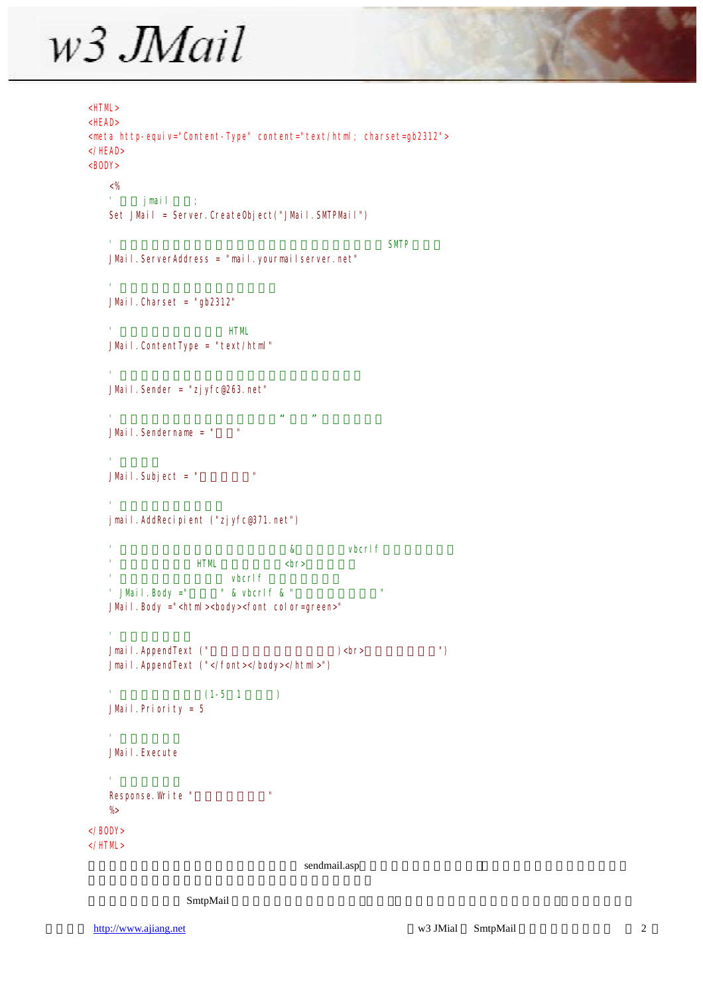# $w3$  *JMail*

```
<HTML> 
\leqHEAD
<meta http-equiv="Content-Type" content="text/html; charset=gb2312">
\langle/HEAD>RCDY>
   <\frac{9}{6}' jmail ;
   Set JMail = Server. CreateObiect("JMail. SMTPMail")
    \blacksquare such a set of the set of the set of the set of the SMTP \blacksquareJMail. ServerAddress = "mail. yourmailserver.net"
    ' 邮件字符集,这里设置为简体中文
   JMail. Charset = "gb2312"
                       HTMJMail. ContentType = "text/html"
    ' 发件人的信箱,请修改这一行,将地址改为你的地址
   JMail.Sender = "zjyfc@263.net"
    \mu and \mu and \mu and \mu and \mu and \muJMail. Sendername = "
    ' 邮件标题
   JMail. Subject = "''' 设置邮件的收件人信箱
   jmail.AddRecipient ("zjyfc@371.net") 
                                  & vbcrlf
    \mathsf{HTM} \mathsf{CP} \mathsf{CP}v bcrl f' JMail. Body =" \cdot & vbcrlf & "
   JMail.Body ="<html><body><font color=green>" 
    ' 为正文追加内容
   Jmail.AppendText ("这封邮件是用来做试验的:)<br>真的,不骗你。") 
   Jmail.AppendText ("</font></body></html>") 
   (1-5 \t1)JMail. Priority = 5' 执行发送任务
   JMail. Execute
    ' 提示发送成功
   Response. Wite "
   %> 
</BODY> 
</HTML>
```
sendmail.asp

#### $SmtpMail$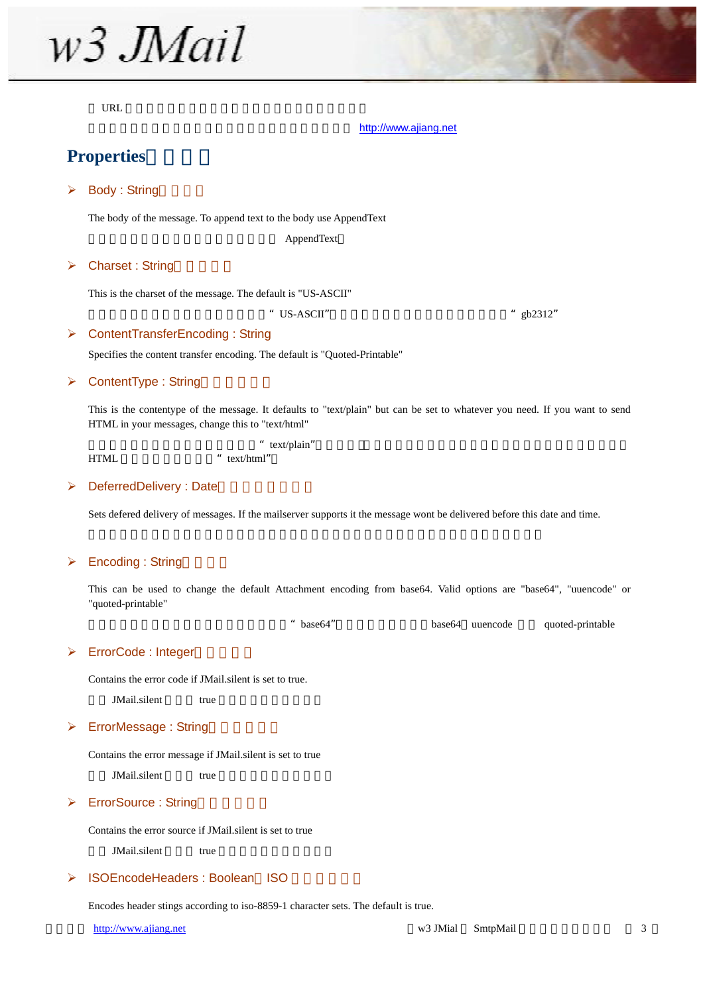w<sub>3</sub> JMail

 $URL$ 

#### [http://www.ajiang.net](http://www.ajiang.net/)

### **Properties**

#### $\triangleright$  Body : String

The body of the message. To append text to the body use AppendText

AppendText

#### $\triangleright$  Charset : String

This is the charset of the message. The default is "US-ASCII"

" US-ASCII"  $\qquad$ " gb2312"

#### ¾ ContentTransferEncoding : String

Specifies the content transfer encoding. The default is "Quoted-Printable"

#### $\triangleright$  ContentType : String

This is the contentype of the message. It defaults to "text/plain" but can be set to whatever you need. If you want to send HTML in your messages, change this to "text/html"

|      | " text/plain" |
|------|---------------|
| HTML | " $textthm"$  |

#### $\triangleright$  DeferredDelivery : Date

Sets defered delivery of messages. If the mailserver supports it the message wont be delivered before this date and time.

#### $\triangleright$  Encoding : String

This can be used to change the default Attachment encoding from base64. Valid options are "base64", "uuencode" or "quoted-printable"

" base64" base64 uuencode quoted-printable

#### ▶ ErrorCode : Integer

Contains the error code if JMail.silent is set to true.

JMail.silent true

#### $\triangleright$  ErrorMessage : String

Contains the error message if JMail.silent is set to true

JMail.silent true

#### $\triangleright$  ErrorSource : String

Contains the error source if JMail.silent is set to true

JMail.silent true

#### ▶ ISOEncodeHeaders : Boolean ISO

Encodes header stings according to iso-8859-1 character sets. The default is true.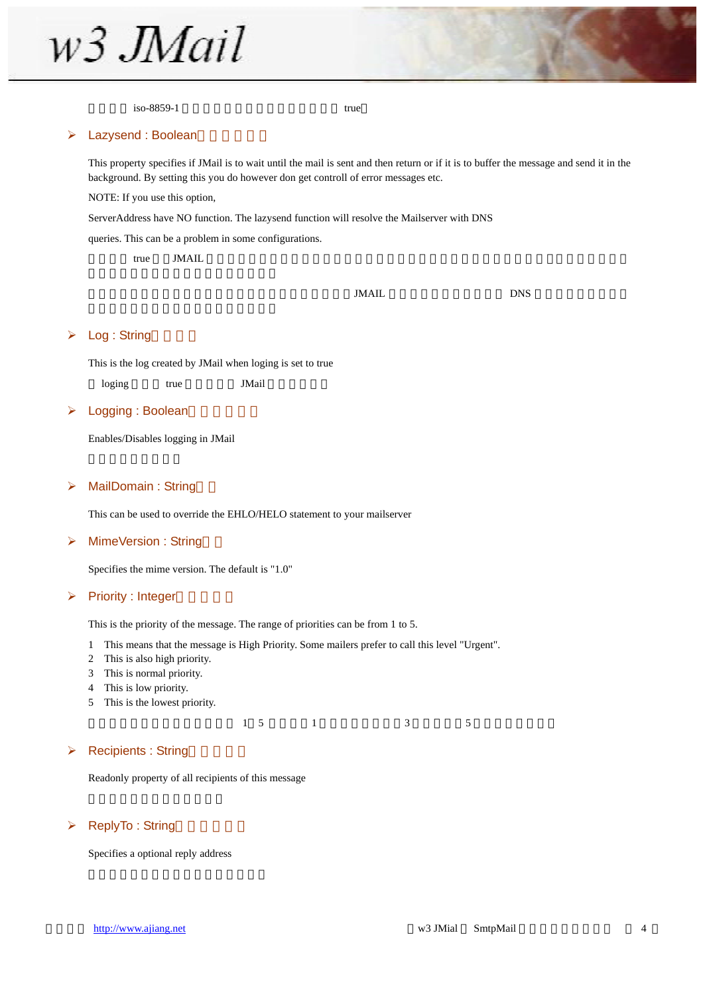

 $\frac{1}{100}$  iso-8859-1 true

#### $\blacktriangleright$  Lazysend : Boolean

This property specifies if JMail is to wait until the mail is sent and then return or if it is to buffer the message and send it in the background. By setting this you do however don get controll of error messages etc.

NOTE: If you use this option,

ServerAddress have NO function. The lazysend function will resolve the Mailserver with DNS

queries. This can be a problem in some configurations.

 $t$ rue JMAIL  $\sim$ 

 $JMAIL$  DNS  $JMAIL$ 

#### $\triangleright$  Log : String

This is the log created by JMail when loging is set to true

loging true JMail

#### $\triangleright$  Logging : Boolean

Enables/Disables logging in JMail

#### ¾ MailDomain : String()

This can be used to override the EHLO/HELO statement to your mailserver

#### $\triangleright$  MimeVersion : String

Specifies the mime version. The default is "1.0"

#### $\triangleright$  Priority : Integer

This is the priority of the message. The range of priorities can be from 1 to 5.

- 1 This means that the message is High Priority. Some mailers prefer to call this level "Urgent".
- 2 This is also high priority.
- 3 This is normal priority.
- 4 This is low priority.
- 5 This is the lowest priority.

 $1 \quad 5 \quad 1 \quad 3 \quad 5$ 

#### $\triangleright$  Recipients : String

Readonly property of all recipients of this message

#### $\triangleright$  ReplyTo : String

Specifies a optional reply address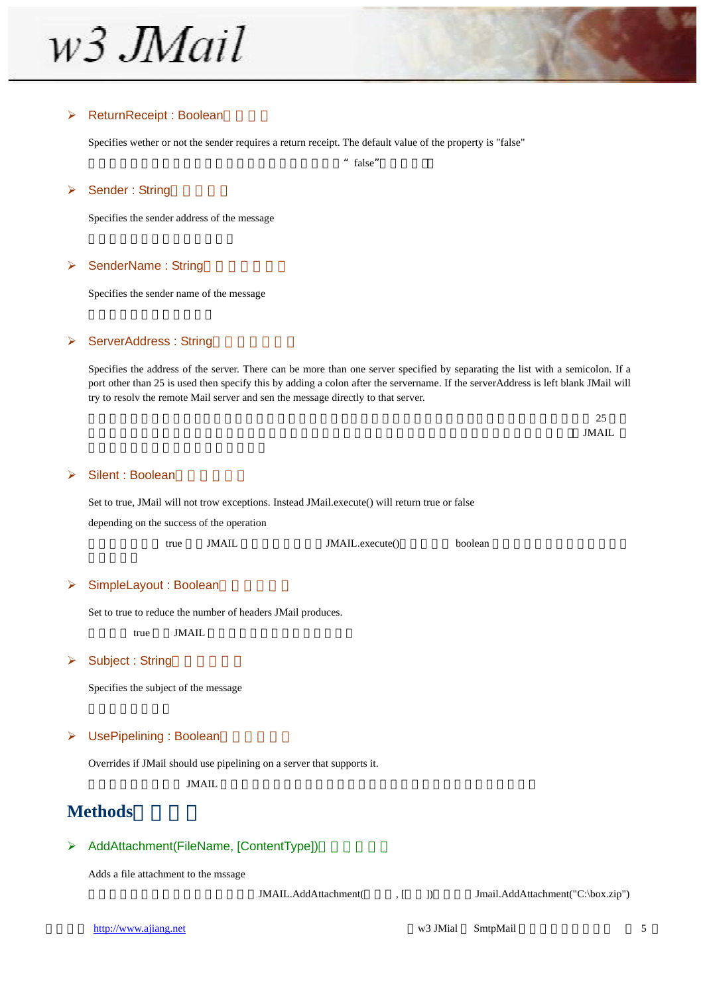w<sub>3</sub> JMail

#### $\triangleright$  ReturnReceipt : Boolean

Specifies wether or not the sender requires a return receipt. The default value of the property is "false"

 $"$  false"

#### $\triangleright$  Sender : String

Specifies the sender address of the message

#### $\triangleright$  SenderName : String

Specifies the sender name of the message

#### **▶ ServerAddress : String**

Specifies the address of the server. There can be more than one server specified by separating the list with a semicolon. If a port other than 25 is used then specify this by adding a colon after the servername. If the serverAddress is left blank JMail will try to resolv the remote Mail server and sen the message directly to that server.

 $\sim$  25  $MAL$ 

#### ¾ Silent : Boolean(安静发信)

Set to true, JMail will not trow exceptions. Instead JMail.execute() will return true or false depending on the success of the operation

| true | <b>JMAIL</b> | JMAIL.execute() | boolean |
|------|--------------|-----------------|---------|
|------|--------------|-----------------|---------|

#### $\triangleright$  SimpleLayout : Boolean

Set to true to reduce the number of headers JMail produces.

true JMAIL

#### $\triangleright$  Subject : String

Specifies the subject of the message

#### ▶ UsePipelining : Boolean

Overrides if JMail should use pipelining on a server that supports it.

 $JML$ 

### **Methods**(方法)

#### ¾ AddAttachment(FileName, [ContentType])(添加附件)

Adds a file attachment to the mssage

JMAIL.AddAttachment(  $\qquad$ , [ ]) Jmail.AddAttachment("C:\box.zip")

http://www.ajiang.net 5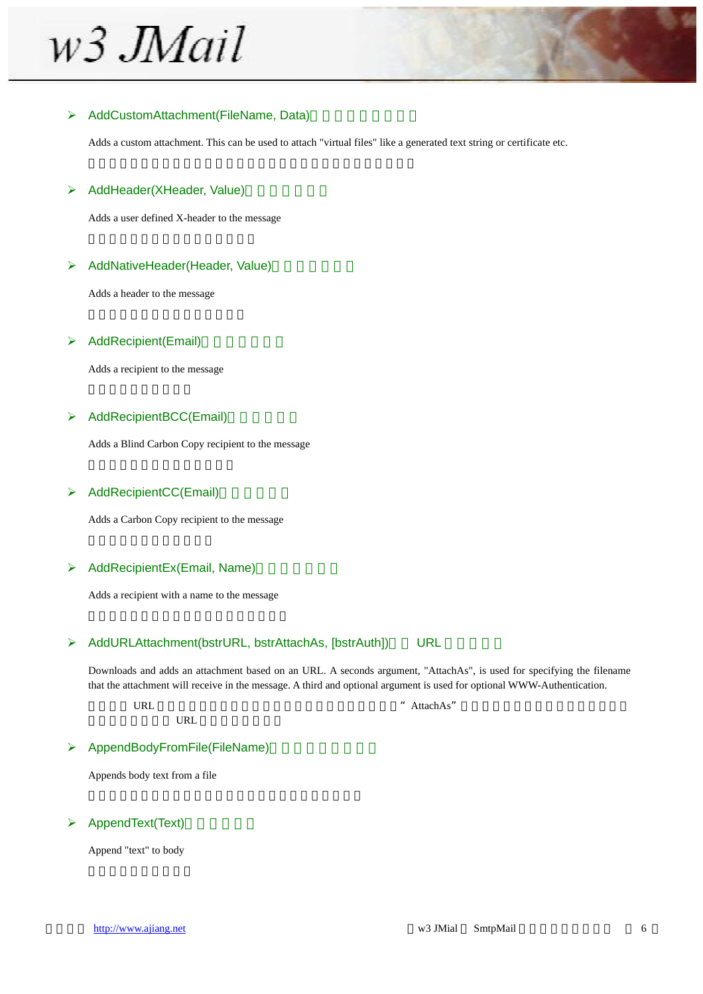w<sub>3</sub> JMail

#### ▶ AddCustomAttachment(FileName, Data)

Adds a custom attachment. This can be used to attach "virtual files" like a generated text string or certificate etc.

#### ▶ AddHeader(XHeader, Value)

Adds a user defined X-header to the message

#### $\triangleright$  AddNativeHeader(Header, Value)

Adds a header to the message

#### $\triangleright$  AddRecipient(Email)

Adds a recipient to the message

#### $\triangleright$  AddRecipientBCC(Email)

Adds a Blind Carbon Copy recipient to the message

#### ▶ AddRecipientCC(Email)

Adds a Carbon Copy recipient to the message

#### $\triangleright$  AddRecipientEx(Email, Name)

Adds a recipient with a name to the message

#### → AddURLAttachment(bstrURL, bstrAttachAs, [bstrAuth]) URL

Downloads and adds an attachment based on an URL. A seconds argument, "AttachAs", is used for specifying the filename that the attachment will receive in the message. A third and optional argument is used for optional WWW-Authentication.

URL  $\mathbb{C}$  URL  $\mathbb{C}$   $\mathbb{C}$   $\mathbb{C}$   $\mathbb{C}$   $\mathbb{C}$   $\mathbb{C}$   $\mathbb{C}$   $\mathbb{C}$   $\mathbb{C}$   $\mathbb{C}$   $\mathbb{C}$   $\mathbb{C}$   $\mathbb{C}$   $\mathbb{C}$   $\mathbb{C}$   $\mathbb{C}$   $\mathbb{C}$   $\mathbb{C}$   $\mathbb{C}$   $\mathbb{C}$   $\mathbb{C}$   $\mathbb{C}$   $\mathbb{C$ 

#### **▶ AppendBodyFromFile(FileName)**

**URL** 

Appends body text from a file

#### $\triangleright$  AppendText(Text)

Append "text" to body